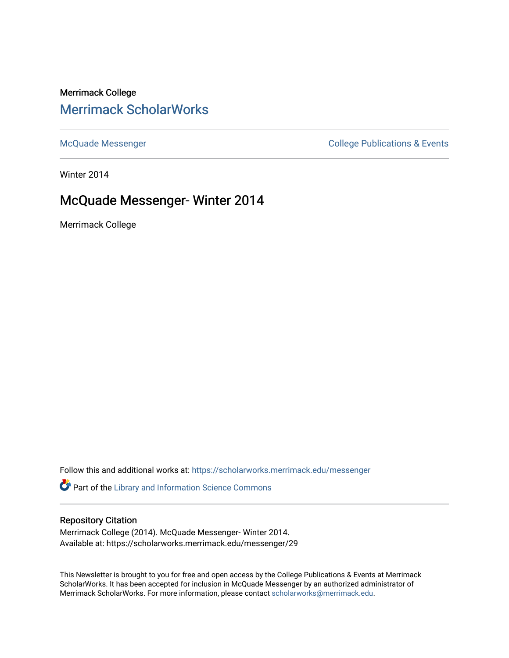## Merrimack College [Merrimack ScholarWorks](https://scholarworks.merrimack.edu/)

[McQuade Messenger](https://scholarworks.merrimack.edu/messenger) College Publications & Events

Winter 2014

# McQuade Messenger- Winter 2014

Merrimack College

Follow this and additional works at: [https://scholarworks.merrimack.edu/messenger](https://scholarworks.merrimack.edu/messenger?utm_source=scholarworks.merrimack.edu%2Fmessenger%2F29&utm_medium=PDF&utm_campaign=PDFCoverPages) 

Part of the [Library and Information Science Commons](http://network.bepress.com/hgg/discipline/1018?utm_source=scholarworks.merrimack.edu%2Fmessenger%2F29&utm_medium=PDF&utm_campaign=PDFCoverPages) 

### Repository Citation

Merrimack College (2014). McQuade Messenger- Winter 2014. Available at: https://scholarworks.merrimack.edu/messenger/29

This Newsletter is brought to you for free and open access by the College Publications & Events at Merrimack ScholarWorks. It has been accepted for inclusion in McQuade Messenger by an authorized administrator of Merrimack ScholarWorks. For more information, please contact [scholarworks@merrimack.edu](mailto:scholarworks@merrimack.edu).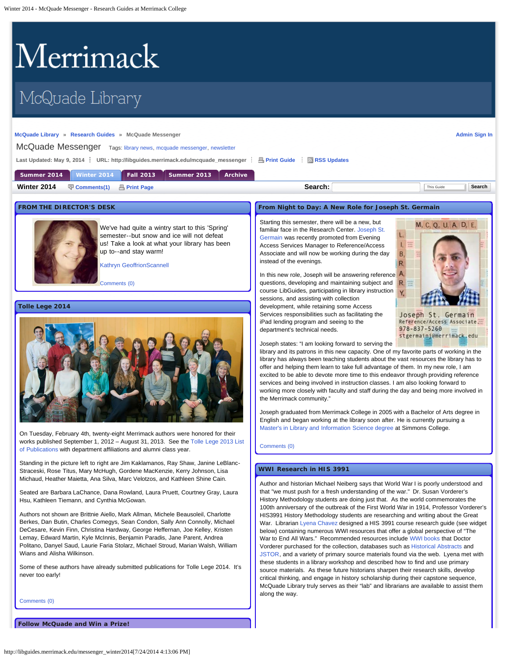# <span id="page-1-0"></span>Merrimack

# McQuade Library

#### **[McQuade Library](http://www.merrimack.edu/library) » [Research Guides](http://libguides.merrimack.edu/index.php) » McQuade Messenger**

**[Admin Sign In](https://libguides.com/login.php?iid=778&target=%2Faecontent.php%3Fpid%3D447275%26sid%3D4544650)**

McQuade Messenger Tags: [library news](http://libguides.merrimack.edu/searchtags.php?iid=778&tag=library%20news), [mcquade messenger](http://libguides.merrimack.edu/searchtags.php?iid=778&tag=mcquade%20messenger), newsletter

Last Updated: May 9, 2014 <sup>2</sup> URL: http://libguides.merrimack.edu/mcquade\_messenger <sup>2</sup> B [Print Guide](http://libguides.merrimack.edu/print_content.php?pid=447275&sid=4544650&mode=g) <sup>2</sup> [RSS Updates](#page-1-0)

| <b>Number 2014 Fall 2013 Summer 2013 Archive</b><br>Summer 2014 |  |
|-----------------------------------------------------------------|--|
|-----------------------------------------------------------------|--|

**Winter 2014**  $\Box$  [Comments\(1\)](#page-1-0)  A [Print Page](http://libguides.merrimack.edu/print_content.php?pid=447275&sid=4544650) **Search:** Search: This Guide This Guide This Guide The Search

#### **FROM THE DIRECTOR'S DESK**



We've had quite a wintry start to this 'Spring' semester--but snow and ice will not defeat us! Take a look at what your library has been up to--and stay warm!

[Kathryn GeoffrionScannell](mailto:geoffrionscannellk@merrimack.edu)

[Comments \(0\)](#page-1-0)

#### **Tolle Lege 2014**



On Tuesday, February 4th, twenty-eight Merrimack authors were honored for their works published September 1, 2012 – August 31, 2013. See the [Tolle Lege 2013 List](http://server1.noblenet.org/merrimack/blog1/wp-content/uploads/2014/02/TL-2013.pdf) [of Publications](http://server1.noblenet.org/merrimack/blog1/wp-content/uploads/2014/02/TL-2013.pdf) with department affiliations and alumni class year.

Standing in the picture left to right are Jim Kaklamanos, Ray Shaw, Janine LeBlanc-Straceski, Rose Titus, Mary McHugh, Gordene MacKenzie, Kerry Johnson, Lisa Michaud, Heather Maietta, Ana Silva, Marc Velotzos, and Kathleen Shine Cain.

Seated are Barbara LaChance, Dana Rowland, Laura Pruett, Courtney Gray, Laura Hsu, Kathleen Tiemann, and Cynthia McGowan.

Authors not shown are Brittnie Aiello, Mark Allman, Michele Beausoleil, Charlotte Berkes, Dan Butin, Charles Comegys, Sean Condon, Sally Ann Connolly, Michael DeCesare, Kevin Finn, Christina Hardway, George Heffernan, Joe Kelley, Kristen Lemay, Edward Martin, Kyle McInnis, Benjamin Paradis, Jane Parent, Andrea Politano, Danyel Saud, Laurie Faria Stolarz, Michael Stroud, Marian Walsh, William Wians and Alisha Wilkinson.

Some of these authors have already submitted publications for Tolle Lege 2014. It's never too early!

[Comments \(0\)](#page-1-0)

**Follow McQuade and Win a Prize!**

#### **From Night to Day: A New Role for Joseph St. Germain**

Starting this semester, there will be a new, but familiar face in the Research Center. [Joseph St.](mailto:%20stgermainj@merrimack.edu) [Germain](mailto:%20stgermainj@merrimack.edu) was recently promoted from Evening Access Services Manager to Reference/Access Associate and will now be working during the day instead of the evenings.

In this new role, Joseph will be answering reference questions, developing and maintaining subject and course LibGuides, participating in library instruction sessions, and assisting with collection development, while retaining some Access Services responsibilities such as facilitating the iPad lending program and seeing to the department's technical needs.



Joseph states: "I am looking forward to serving the

library and its patrons in this new capacity. One of my favorite parts of working in the library has always been teaching students about the vast resources the library has to offer and helping them learn to take full advantage of them. In my new role, I am excited to be able to devote more time to this endeavor through providing reference services and being involved in instruction classes. I am also looking forward to working more closely with faculty and staff during the day and being more involved in the Merrimack community."

Joseph graduated from Merrimack College in 2005 with a Bachelor of Arts degree in English and began working at the library soon after. He is currently pursuing a [Master's in Library and Information Science degree](http://www.simmons.edu/gslis/) at Simmons College.

#### [Comments \(0\)](#page-1-0)

#### **WWI Research in HIS 3991**

Author and historian Michael Neiberg says that World War I is poorly understood and that "we must push for a fresh understanding of the war." Dr. Susan Vorderer's History Methodology students are doing just that. As the world commemorates the 100th anniversary of the outbreak of the First World War in 1914, Professor Vorderer's HIS3991 History Methodology students are researching and writing about the Great War. Librarian [Lyena Chavez](mailto:%20chavezl@merrimack.edu) designed a HIS 3991 course research guide (see widget below) containing numerous WWI resources that offer a global perspective of "The War to End All Wars." Recommended resources include [WWI books](http://libguides.merrimack.edu/recommendedbooks) that Doctor Vorderer purchased for the collection, databases such as [Historical Abstracts](http://proxy3.noblenet.org/login?url=http://search.ebscohost.com/login.aspx?authtype=ip&profile=ehost&defaultdb=30h) and [JSTOR,](http://proxy3.noblenet.org/login?url=http://www.jstor.org/search) and a variety of primary source materials found via the web. Lyena met with these students in a library workshop and described how to find and use primary source materials. As these future historians sharpen their research skills, develop critical thinking, and engage in history scholarship during their capstone sequence, McQuade Library truly serves as their "lab" and librarians are available to assist them along the way.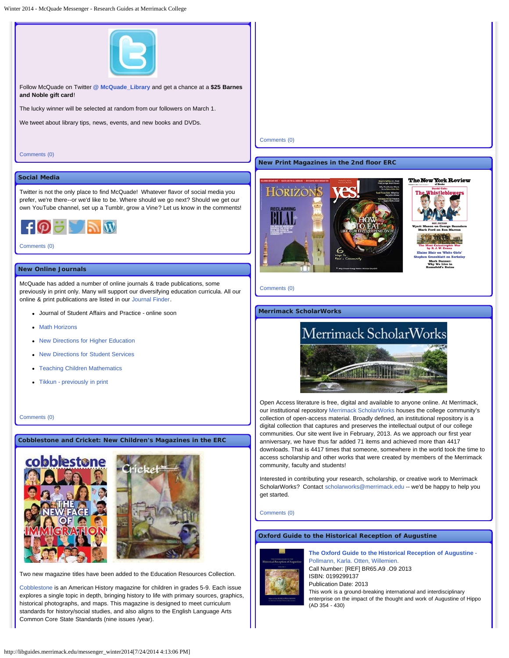Winter 2014 - McQuade Messenger - Research Guides at Merrimack College



Follow McQuade on Twitter **[@ McQuade\\_Library](https://twitter.com/McQuade_Library)** and get a chance at a **\$25 Barnes and Noble gift card**!

The lucky winner will be selected at random from our followers on March 1.

We tweet about library tips, news, events, and new books and DVDs.

[Comments \(0\)](#page-1-0)

#### **New Print Magazines in the 2nd floor ERC**





#### [Comments \(0\)](#page-1-0)

#### **Merrimack ScholarWorks**



Open Access literature is free, digital and available to anyone online. At Merrimack, our institutional repository [Merrimack ScholarWorks](http://scholarworks.merrimack.edu/) houses the college community's collection of open-access material. Broadly defined, an institutional repository is a digital collection that captures and preserves the intellectual output of our college communities. Our site went live in February, 2013. As we approach our first year anniversary, we have thus far added 71 items and achieved more than 4417 downloads. That is 4417 times that someone, somewhere in the world took the time to access scholarship and other works that were created by members of the Merrimack community, faculty and students!

Interested in contributing your research, scholarship, or creative work to Merrimack ScholarWorks? Contact [scholarworks@merrimack.edu](mailto:%20scholarworks@merrimack.edu) -- we'd be happy to help you get started.

#### [Comments \(0\)](#page-1-0)

#### **Oxford Guide to the Historical Reception of Augustine**



**[The Oxford Guide to the Historical Reception of Augustine](http://libguides.merrimack.edu/recommendedbooks)** [-](http://libguides.merrimack.edu/recommendedbooks) [Pollmann, Karla. Otten, Willemien.](http://libguides.merrimack.edu/recommendedbooks) Call Number: [REF] BR65.A9 .O9 2013 ISBN: 0199299137 Publication Date: 2013 This work is a ground-breaking international and interdisciplinary enterprise on the impact of the thought and work of Augustine of Hippo (AD 354 - 430)

#### [Comments \(0\)](#page-1-0)

#### **Social Media**

Twitter is not the only place to find McQuade! Whatever flavor of social media you prefer, we're there--or we'd like to be. Where should we go next? Should we get our own YouTube channel, set up a Tumblr, grow a Vine? Let us know in the comments!



#### [Comments \(0\)](#page-1-0)

#### **New Online Journals**

McQuade has added a number of online journals & trade publications, some previously in print only. Many will support our diversifying education curricula. All our online & print publications are listed in our [Journal Finder.](http://libguides.merrimack.edu/content.php?pid=209570&sid=2919078)

- Journal of Student Affairs and Practice online soon
- [Math Horizons](http://proxy3.noblenet.org/login?url=http://www.jstor.org/action/showPublication?journalCode=mathhorizons)
- [New Directions for Higher Education](http://proxy3.noblenet.org/login?url=http://onlinelibrary.wiley.com/journal/10.1002/%28ISSN%291536-0741)
- [New Directions for Student Services](http://onlinelibrary.wiley.com/journal/10.1002/%28ISSN%291536-0741)
- **[Teaching Children Mathematics](http://proxy3.noblenet.org/login?url=http://www.jstor.org/action/showPublication?journalCode=teacchilmath)**
- [Tikkun previously in print](http://proxy3.noblenet.org/login?url=http://muse.jhu.edu/journals/tikkun/)

[Comments \(0\)](#page-1-0)

**Cobblestone and Cricket: New Children's Magazines in the ERC**





Two new magazine titles have been added to the Education Resources Collection.

[Cobblestone i](http://merrimack.noblenet.org/eg/opac/record/2011591?locg=30)s an American History magazine for children in grades 5-9. Each issue explores a single topic in depth, bringing history to life with primary sources, graphics, historical photographs, and maps. This magazine is designed to meet curriculum standards for history/social studies, and also aligns to the English Language Arts Common Core State Standards (nine issues /year).